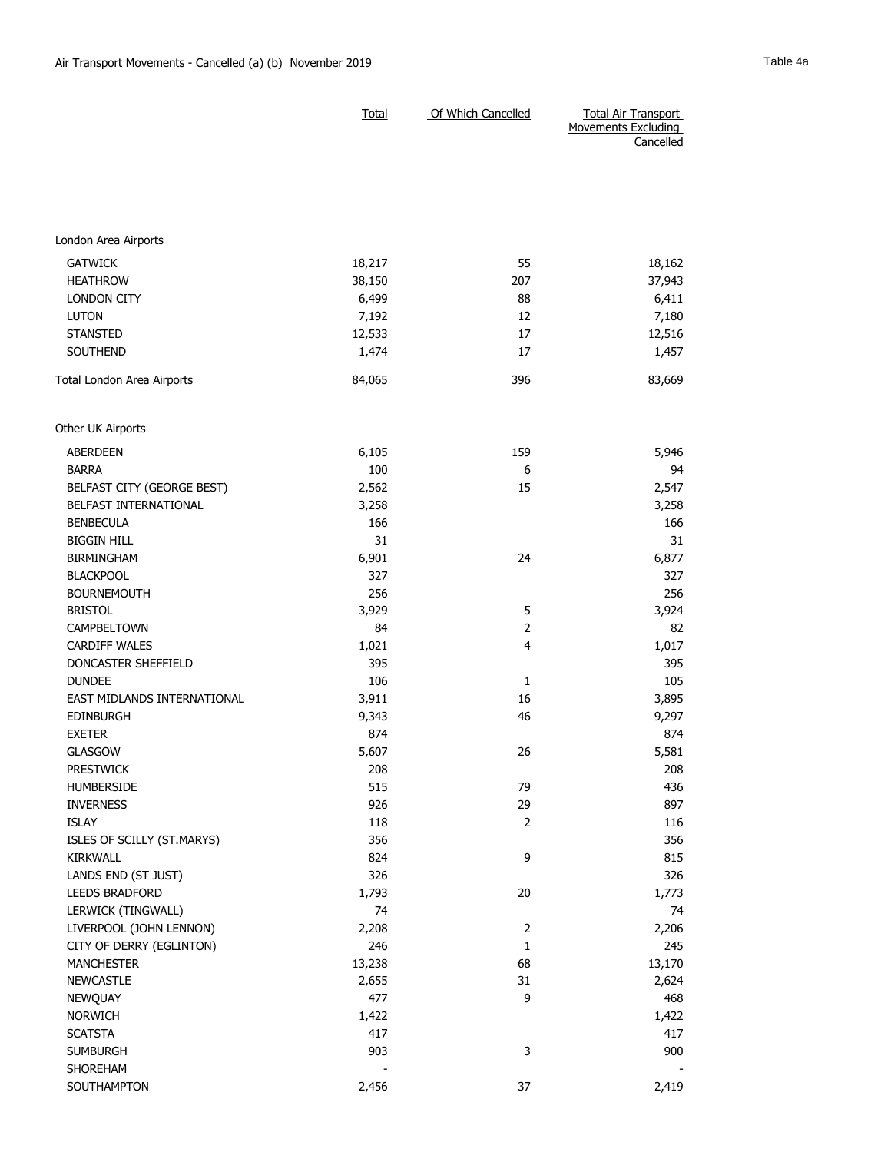|                                  | <b>Total</b> | Of Which Cancelled | <b>Total Air Transport</b><br><b>Movements Excluding</b><br>Cancelled |
|----------------------------------|--------------|--------------------|-----------------------------------------------------------------------|
|                                  |              |                    |                                                                       |
| London Area Airports             |              |                    |                                                                       |
| <b>GATWICK</b>                   | 18,217       | 55                 | 18,162                                                                |
| <b>HEATHROW</b>                  | 38,150       | 207                | 37,943                                                                |
| LONDON CITY                      | 6,499        | 88                 | 6,411                                                                 |
| <b>LUTON</b>                     | 7,192        | 12                 | 7,180                                                                 |
| <b>STANSTED</b>                  | 12,533       | 17                 | 12,516                                                                |
| SOUTHEND                         | 1,474        | 17                 | 1,457                                                                 |
| Total London Area Airports       | 84,065       | 396                | 83,669                                                                |
| Other UK Airports                |              |                    |                                                                       |
| <b>ABERDEEN</b>                  | 6,105        | 159                | 5,946                                                                 |
| <b>BARRA</b>                     | 100          | 6                  | 94                                                                    |
| BELFAST CITY (GEORGE BEST)       | 2,562        | 15                 | 2,547                                                                 |
| BELFAST INTERNATIONAL            | 3,258        |                    | 3,258                                                                 |
| <b>BENBECULA</b>                 | 166          |                    | 166                                                                   |
| <b>BIGGIN HILL</b>               | 31           |                    | 31                                                                    |
| <b>BIRMINGHAM</b>                | 6,901        | 24                 | 6,877                                                                 |
| <b>BLACKPOOL</b>                 | 327          |                    | 327                                                                   |
| <b>BOURNEMOUTH</b>               | 256          |                    | 256                                                                   |
| <b>BRISTOL</b>                   | 3,929        | 5                  | 3,924                                                                 |
| CAMPBELTOWN                      | 84           | 2                  | 82                                                                    |
| <b>CARDIFF WALES</b>             | 1,021        | 4                  | 1,017                                                                 |
| DONCASTER SHEFFIELD              | 395          |                    | 395                                                                   |
| <b>DUNDEE</b>                    | 106          | 1                  | 105                                                                   |
| EAST MIDLANDS INTERNATIONAL      | 3,911        | 16                 | 3,895                                                                 |
| <b>EDINBURGH</b>                 | 9,343        | 46                 | 9,297                                                                 |
| <b>EXETER</b>                    | 874          |                    | 874                                                                   |
| <b>GLASGOW</b>                   | 5,607        | 26                 | 5,581                                                                 |
| <b>PRESTWICK</b>                 | 208          |                    | 208                                                                   |
| <b>HUMBERSIDE</b>                | 515          | 79<br>29           | 436                                                                   |
| <b>INVERNESS</b><br><b>ISLAY</b> | 926<br>118   | $\overline{2}$     | 897<br>116                                                            |
| ISLES OF SCILLY (ST.MARYS)       | 356          |                    | 356                                                                   |
| <b>KIRKWALL</b>                  | 824          | 9                  | 815                                                                   |
| LANDS END (ST JUST)              | 326          |                    | 326                                                                   |
| LEEDS BRADFORD                   | 1,793        | 20                 | 1,773                                                                 |
| LERWICK (TINGWALL)               | 74           |                    | 74                                                                    |
| LIVERPOOL (JOHN LENNON)          | 2,208        | 2                  | 2,206                                                                 |
| CITY OF DERRY (EGLINTON)         | 246          | 1                  | 245                                                                   |
| <b>MANCHESTER</b>                | 13,238       | 68                 | 13,170                                                                |
| <b>NEWCASTLE</b>                 | 2,655        | 31                 | 2,624                                                                 |
| <b>NEWQUAY</b>                   | 477          | 9                  | 468                                                                   |
| <b>NORWICH</b>                   | 1,422        |                    | 1,422                                                                 |
| <b>SCATSTA</b>                   | 417          |                    | 417                                                                   |
| <b>SUMBURGH</b>                  | 903          | 3                  | 900                                                                   |
| SHOREHAM                         |              |                    |                                                                       |
| SOUTHAMPTON                      | 2,456        | 37                 | 2,419                                                                 |